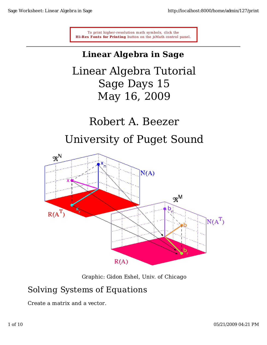To print higher-resolution math symbols, click the **Hi-Res Fonts for Printing** button on the isMath control panel.

# **Linear Algebra in Sage**

Linear Algebra Tutorial Sage Days 15 May 16, 2009

# Robert A. Beezer

# University of Puget Sound



Graphic: Gidon Eshel, Univ. of Chicago

## Solving Systems of Equations

Create a matrix and a vector.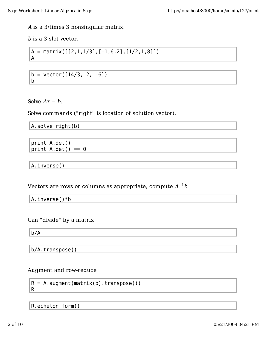A is a 3\times 3 nonsingular matrix.

b is a 3-slot vector.

$$
A = matrix([[2,1,1/3],[-1,6,2],[1/2,1,8]])
$$
  
A

 $b = vector([14/3, 2, -6])$  $\mathsf b$ 

Solve  $Ax = b$ .

Solve commands ("right" is location of solution vector).

A.solve\_right(b)

print A.det() print  $A.det() == 0$ 

A.inverse()

Vectors are rows or columns as appropriate, compute  $A^{-1}b$ 

A.inverse $() * b$ 

Can "divide" by a matrix

 $b/A$ 

R.

b/A.transpose()

Augment and row-reduce

 $R = A$ . augment (matrix(b). transpose())

R.echelon form()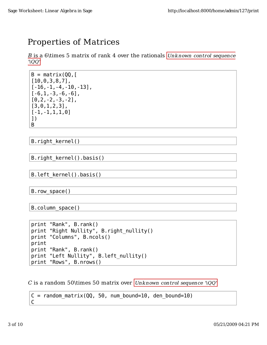# **Properties of Matrices**

B is a 6\times 5 matrix of rank 4 over the rationals Unknown control sequence  $'$   $|QQ'|$ 

```
B = matrix(00.1[10, 0, 3, 8, 7],
[-16, -1, -4, -10, -13],
[-6, 1, -3, -6, -6],
[0, 2, -2, -3, -2],
[3, 0, 1, 2, 3],
[-1, -1, 1, 1, 0]\left| \ \right|B
```
B. right kernel()

B.right kernel().basis()

B.left kernel().basis()

 $B. row space()$ 

```
B. column space()
```

```
print "Rank", B.rank()
print "Right Nullity", B.right_nullity()
print "Columns", B.ncols()
print
print "Rank", B.rank()
print "Left Nullity", B.left_nullity()
print "Rows", B.nrows()
```
C is a random 50\times 50 matrix over Unknown control sequence '\QQ'

```
C = random matrix(QQ, 50, num bound=10, den bound=10)
C
```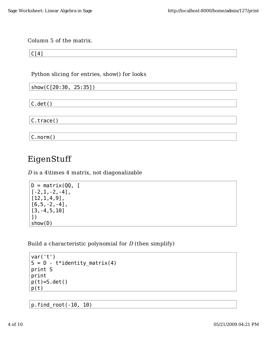### Column 5 of the matrix.

 $C[4]$ 

Python slicing for entries, show() for looks

| $ $ show(C[20:30, 25:35]) |  |
|---------------------------|--|
|                           |  |
| $ C.\det()$               |  |
| C.trace()                 |  |
|                           |  |
| C.norm()                  |  |

## EigenStuff

 $D$  is a 4\times 4 matrix, not diagonalizable

```
D = matrix(QQ, [[-2, 1, -2, -4],[12, 1, 4, 9],
[6, 5, -2, -4],
[3, -4, 5, 10]1)show(D)
```
Build a characteristic polynomial for  $D$  (then simplify)

 $var('t')$  $S = D - t*identity_matrix(4)$ print S print  $p(t)=S.det()$  $p(t)$ 

 $p. find_{root}(-10, 10)$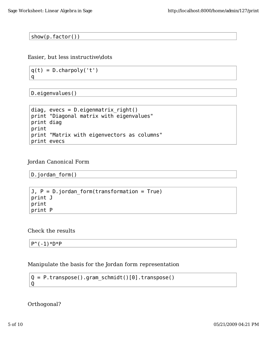$show(p-factor())$ 

Easier, but less instructive\dots

 $q(t) = D \cdot \text{charpoly('t')})$  $\mathsf{q}$ 

D.eigenvalues()

```
diag, evecs = D.eigenmatrix right()print "Diagonal matrix with eigenvalues"
print diag
print
print "Matrix with eigenvectors as columns"
print evecs
```
#### Jordan Canonical Form

```
D.jordan form()
```

```
J, P = D.jordan form(transformation = True)
print J
print
print P
```
Check the results

 $P^{(1)}( -1)*D*P$ 

### Manipulate the basis for the Jordan form representation

```
Q = P.\text{transpose}() . \text{gram\_schmidt}() [0]. \text{transpose}()\overline{Q}
```
Orthogonal?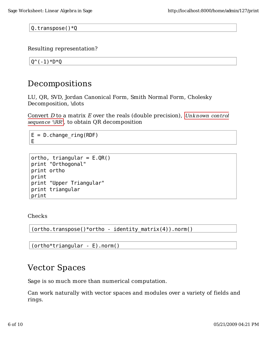Q.transpose() $*Q$ 

Resulting representation?

 $Q^{\wedge}(-1) * D * Q$ 

### Decompositions

LU, QR, SVD, Jordan Canonical Form, Smith Normal Form, Cholesky Decomposition, \dots

Convert D to a matrix E over the reals (double precision), Unknown control sequence '\RR', to obtain QR decomposition

 $E = D$ . change ring (RDF) E.

```
ortho, triangular = E.QR()print "Orthogonal"
print ortho
print
print "Upper Triangular"
print triangular
print
```
Checks

 $(ortho.transpose() *ortho - identity_matrix(4)) .norm()$ 

```
(ortho*triangular - E).norm()
```
### **Vector Spaces**

Sage is so much more than numerical computation.

Can work naturally with vector spaces and modules over a variety of fields and rings.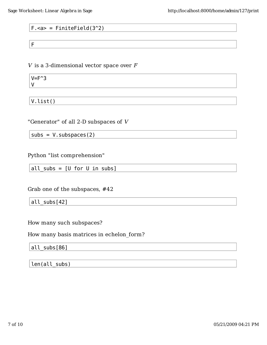### $F.\texttt{&}= FiniteField(3^2)$

F

 $V$  is a 3-dimensional vector space over  $F$ 

 $V = F^3$  $\mathsf{V}$ 

 $V.list()$ 

"Generator" of all 2-D subspaces of  $V$ 

 $subs = V.subspaces(2)$ 

Python "list comprehension"

all subs =  $[U$  for  $U$  in subs]

Grab one of the subspaces, #42

all subs[42]

How many such subspaces?

How many basis matrices in echelon form?

all\_subs[86]

len(all subs)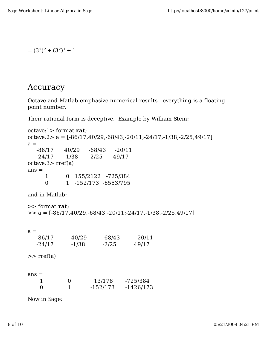$= (3<sup>2</sup>)<sup>2</sup> + (3<sup>2</sup>)<sup>1</sup> + 1$ 

### Accuracy

Octave and Matlab emphasize numerical results - everything is a floating point number.

Their rational form is deceptive. Example by William Stein:

```
octave:1> format rat;
octave:2 > a = [-86/17, 40/29, -68/43, -20/11, -24/17, -1/38, -2/25, 49/17]a = -86/17 40/29 -68/43 -20/11
   -24/17 -1/38 -2/25 49/17
octave:3> rref(a)
ans = 1 0 155/2122 -725/384
      0 1 -152/173 -6553/795
and in Matlab:
>> format rat;
\Rightarrow a = [-86/17,40/29,-68/43,-20/11;-24/17,-1/38,-2/25,49/17]
a = -86/17 40/29 -68/43 -20/11
   -24/17 -1/38 -2/25 49/17
\gg rref(a)
ans = 1 0 13/178 -725/384
    0 1 -152/173 -1426/173
```
Now in Sage: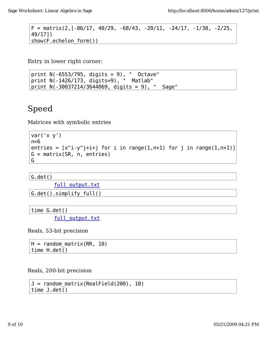```
F = matrix(2,[-86/17, 40/29, -68/43, -20/11, -24/17, -1/38, -2/25,
49/17])
show(F.echelon form())
```
Entry in lower right corner:

print  $N(-6553/795, \text{ digits} = 9)$ , "Octave" print N(-1426/173, digits=9), " Matlab" print  $N(-30037214/3644069, \text{ digits} = 9)$ , "Sage"

# Speed

Matrices with symbolic entries

```
var('x y')n=6entries = [x^i - y^i + i + j for i in range(1,n+1) for j in range(1,n+1)]
G = matrix(SR, n, entries)G
```
 $G. det()$ 

full output.txt

 $G. det() . simplify full()$ 

time  $G.det()$ 

full output.txt

Reals, 53-bit precision

 $H =$  random matrix(RR, 10)  $time H. det()$ 

Reals, 200-bit precision

```
J = random matrix(RealField(200), 10)
time J.det()
```